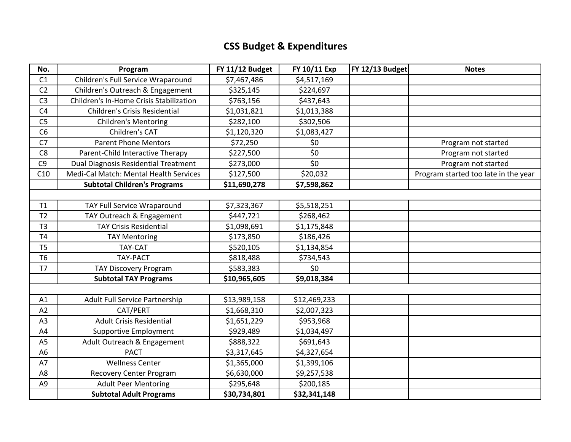## **CSS Budget & Expenditures**

| No.            | Program                                 | FY 11/12 Budget | FY 10/11 Exp | FY 12/13 Budget | <b>Notes</b>                         |
|----------------|-----------------------------------------|-----------------|--------------|-----------------|--------------------------------------|
| C1             | Children's Full Service Wraparound      | \$7,467,486     | \$4,517,169  |                 |                                      |
| C <sub>2</sub> | Children's Outreach & Engagement        | \$325,145       | \$224,697    |                 |                                      |
| C <sub>3</sub> | Children's In-Home Crisis Stabilization | \$763,156       | \$437,643    |                 |                                      |
| C <sub>4</sub> | Children's Crisis Residential           | \$1,031,821     | \$1,013,388  |                 |                                      |
| C <sub>5</sub> | <b>Children's Mentoring</b>             | \$282,100       | \$302,506    |                 |                                      |
| C6             | Children's CAT                          | \$1,120,320     | \$1,083,427  |                 |                                      |
| C7             | <b>Parent Phone Mentors</b>             | \$72,250        | \$0          |                 | Program not started                  |
| C <sub>8</sub> | Parent-Child Interactive Therapy        | \$227,500       | \$0          |                 | Program not started                  |
| C <sub>9</sub> | Dual Diagnosis Residential Treatment    | \$273,000       | \$0          |                 | Program not started                  |
| C10            | Medi-Cal Match: Mental Health Services  | \$127,500       | \$20,032     |                 | Program started too late in the year |
|                | <b>Subtotal Children's Programs</b>     | \$11,690,278    | \$7,598,862  |                 |                                      |
|                |                                         |                 |              |                 |                                      |
| T1             | TAY Full Service Wraparound             | \$7,323,367     | \$5,518,251  |                 |                                      |
| T <sub>2</sub> | TAY Outreach & Engagement               | \$447,721       | \$268,462    |                 |                                      |
| T <sub>3</sub> | <b>TAY Crisis Residential</b>           | \$1,098,691     | \$1,175,848  |                 |                                      |
| <b>T4</b>      | <b>TAY Mentoring</b>                    | \$173,850       | \$186,426    |                 |                                      |
| T <sub>5</sub> | <b>TAY-CAT</b>                          | \$520,105       | \$1,134,854  |                 |                                      |
| T6             | TAY-PACT                                | \$818,488       | \$734,543    |                 |                                      |
| T <sub>7</sub> | <b>TAY Discovery Program</b>            | \$583,383       | \$0          |                 |                                      |
|                | <b>Subtotal TAY Programs</b>            | \$10,965,605    | \$9,018,384  |                 |                                      |
|                |                                         |                 |              |                 |                                      |
| A1             | <b>Adult Full Service Partnership</b>   | \$13,989,158    | \$12,469,233 |                 |                                      |
| A2             | CAT/PERT                                | \$1,668,310     | \$2,007,323  |                 |                                      |
| A <sub>3</sub> | <b>Adult Crisis Residential</b>         | \$1,651,229     | \$953,968    |                 |                                      |
| A4             | <b>Supportive Employment</b>            | \$929,489       | \$1,034,497  |                 |                                      |
| A <sub>5</sub> | Adult Outreach & Engagement             | \$888,322       | \$691,643    |                 |                                      |
| A <sub>6</sub> | <b>PACT</b>                             | \$3,317,645     | \$4,327,654  |                 |                                      |
| A7             | <b>Wellness Center</b>                  | \$1,365,000     | \$1,399,106  |                 |                                      |
| A <sub>8</sub> | <b>Recovery Center Program</b>          | \$6,630,000     | \$9,257,538  |                 |                                      |
| A <sub>9</sub> | <b>Adult Peer Mentoring</b>             | \$295,648       | \$200,185    |                 |                                      |
|                | <b>Subtotal Adult Programs</b>          | \$30,734,801    | \$32,341,148 |                 |                                      |